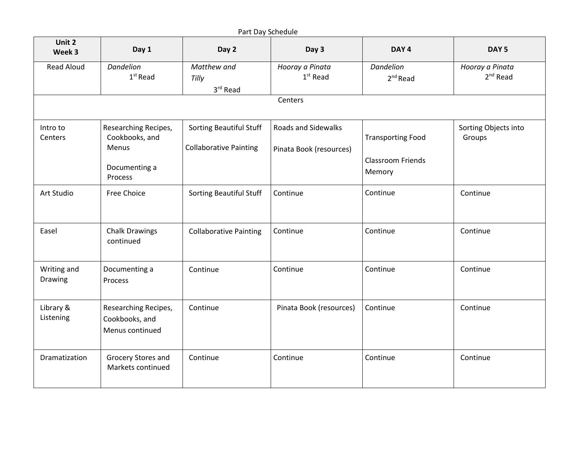|                        |                                                                             |                                                                 | Part Day Schedule                                     |                                                                |                                         |
|------------------------|-----------------------------------------------------------------------------|-----------------------------------------------------------------|-------------------------------------------------------|----------------------------------------------------------------|-----------------------------------------|
| Unit 2<br>Week 3       | Day 1                                                                       | Day 2                                                           | Day 3                                                 | DAY <sub>4</sub>                                               | DAY <sub>5</sub>                        |
| <b>Read Aloud</b>      | <b>Dandelion</b><br>$1st$ Read                                              | Matthew and<br>Tilly<br>3rd Read                                | Hooray a Pinata<br>1 <sup>st</sup> Read               | <b>Dandelion</b><br>2 <sup>nd</sup> Read                       | Hooray a Pinata<br>2 <sup>nd</sup> Read |
|                        |                                                                             |                                                                 | Centers                                               |                                                                |                                         |
| Intro to<br>Centers    | Researching Recipes,<br>Cookbooks, and<br>Menus<br>Documenting a<br>Process | <b>Sorting Beautiful Stuff</b><br><b>Collaborative Painting</b> | <b>Roads and Sidewalks</b><br>Pinata Book (resources) | <b>Transporting Food</b><br><b>Classroom Friends</b><br>Memory | Sorting Objects into<br>Groups          |
| Art Studio             | <b>Free Choice</b>                                                          | <b>Sorting Beautiful Stuff</b>                                  | Continue                                              | Continue                                                       | Continue                                |
| Easel                  | <b>Chalk Drawings</b><br>continued                                          | <b>Collaborative Painting</b>                                   | Continue                                              | Continue                                                       | Continue                                |
| Writing and<br>Drawing | Documenting a<br>Process                                                    | Continue                                                        | Continue                                              | Continue                                                       | Continue                                |
| Library &<br>Listening | Researching Recipes,<br>Cookbooks, and<br>Menus continued                   | Continue                                                        | Pinata Book (resources)                               | Continue                                                       | Continue                                |
| Dramatization          | Grocery Stores and<br>Markets continued                                     | Continue                                                        | Continue                                              | Continue                                                       | Continue                                |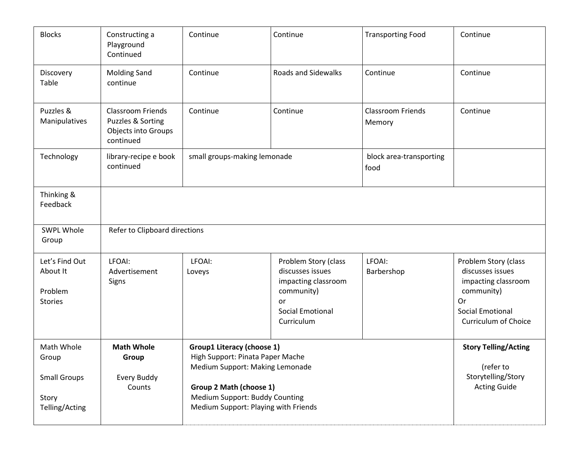| <b>Blocks</b>                                                         | Constructing a<br>Playground<br>Continued                                         | Continue                                                                                                                                                                                                      | Continue                                                                                                                     | <b>Transporting Food</b>           | Continue                                                                                                                                      |  |  |
|-----------------------------------------------------------------------|-----------------------------------------------------------------------------------|---------------------------------------------------------------------------------------------------------------------------------------------------------------------------------------------------------------|------------------------------------------------------------------------------------------------------------------------------|------------------------------------|-----------------------------------------------------------------------------------------------------------------------------------------------|--|--|
| Discovery<br>Table                                                    | <b>Molding Sand</b><br>continue                                                   | Continue                                                                                                                                                                                                      | <b>Roads and Sidewalks</b>                                                                                                   | Continue                           | Continue                                                                                                                                      |  |  |
| Puzzles &<br>Manipulatives                                            | <b>Classroom Friends</b><br>Puzzles & Sorting<br>Objects into Groups<br>continued | Continue                                                                                                                                                                                                      | Continue                                                                                                                     | <b>Classroom Friends</b><br>Memory | Continue                                                                                                                                      |  |  |
| Technology                                                            | library-recipe e book<br>continued                                                | small groups-making lemonade                                                                                                                                                                                  |                                                                                                                              | block area-transporting<br>food    |                                                                                                                                               |  |  |
| Thinking &<br>Feedback                                                |                                                                                   |                                                                                                                                                                                                               |                                                                                                                              |                                    |                                                                                                                                               |  |  |
| <b>SWPL Whole</b><br>Group                                            | Refer to Clipboard directions                                                     |                                                                                                                                                                                                               |                                                                                                                              |                                    |                                                                                                                                               |  |  |
| Let's Find Out<br>About It<br>Problem<br><b>Stories</b>               | LFOAI:<br>Advertisement<br>Signs                                                  | LFOAI:<br>Loveys                                                                                                                                                                                              | Problem Story (class<br>discusses issues<br>impacting classroom<br>community)<br>or<br><b>Social Emotional</b><br>Curriculum | LFOAI:<br>Barbershop               | Problem Story (class<br>discusses issues<br>impacting classroom<br>community)<br>Or<br><b>Social Emotional</b><br><b>Curriculum of Choice</b> |  |  |
| Math Whole<br>Group<br><b>Small Groups</b><br>Story<br>Telling/Acting | <b>Math Whole</b><br>Group<br>Every Buddy<br>Counts                               | <b>Group1 Literacy (choose 1)</b><br>High Support: Pinata Paper Mache<br>Medium Support: Making Lemonade<br>Group 2 Math (choose 1)<br>Medium Support: Buddy Counting<br>Medium Support: Playing with Friends |                                                                                                                              |                                    | <b>Story Telling/Acting</b><br>(refer to<br>Storytelling/Story<br><b>Acting Guide</b>                                                         |  |  |